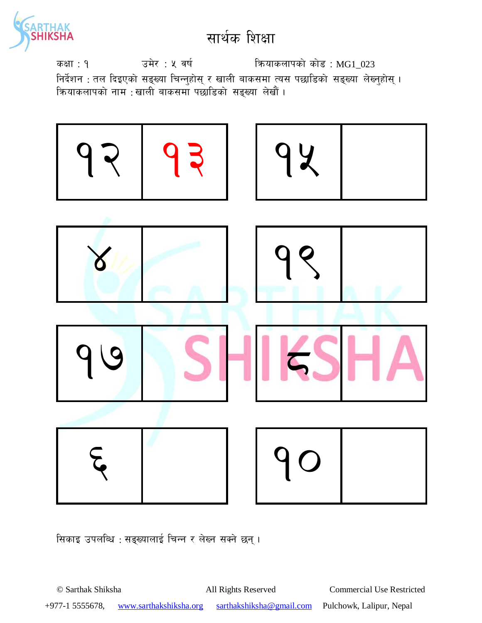

उमेर : ५ वर्ष कियाकलापको कोड : MG1\_023 कक्षा : १ निर्देशन : तल दिइएको सङ्ख्या चिन्नुहोस् र खाली बाकसमा त्यस पछाडिको सङ्ख्या लेख्नुहोस् ।<br>क्रियाकलापको नाम :खाली बाकसमा पछाडिको सङ्ख्या लेखौं ।



सिकाइ उपलब्धि : सङ्ख्यालाई चिन्न र लेख्न सक्ने छन्।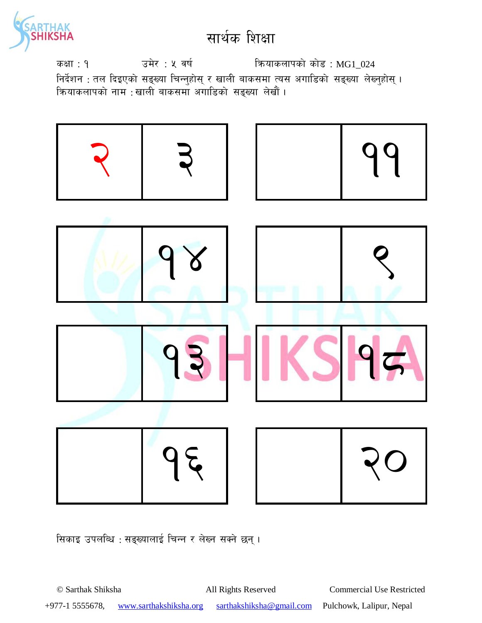

कक्षा: १  $\overline{3}$  उमेर : ५ वर्ष कियाकलापको कोड : MG1\_024 निर्देशन : तल दिइएको सङ्ख्या चिन्नुहोस् र खाली बाकसमा त्यस अगाडिको सङ्ख्या लेख्नुहोस् । कियाकलापको नाम :खाली बाकसमा अगाडिको स<mark>ङ्ख्या लेखौ</mark>ं ।



सिकाइ उपलब्धि : सङ्ख्यालाई चिन्न र लेख्न सक्ने छन् ।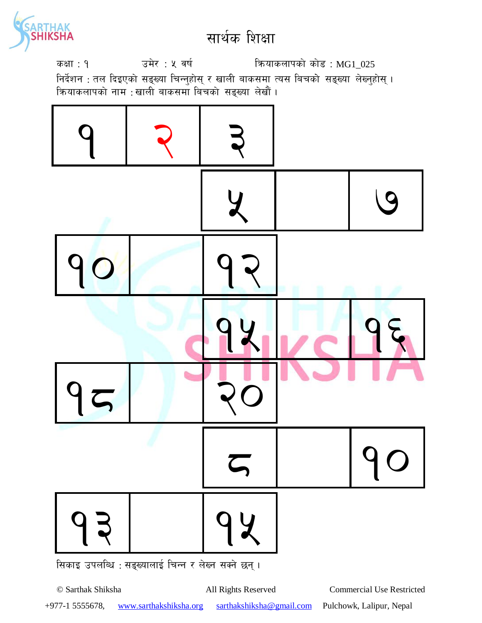

उमेर : ५ वर्ष कियाकलापको कोड: MG1\_025 कक्षा : १ निर्देशन : तल दिइएको सङ्ख्या चिन्नुहोस् र खाली बाकसमा त्यस बिचको सङ्ख्या लेख्नुहोस् ।<br>क्रियाकलापको नाम :खाली बाकसमा बिचको सङ्ख्या लेखौं ।



© Sarthak Shiksha All Rights Reserved **Commercial Use Restricted** +977-1 5555678, www.sarthakshiksha.org sarthakshiksha@gmail.com Pulchowk, Lalipur, Nepal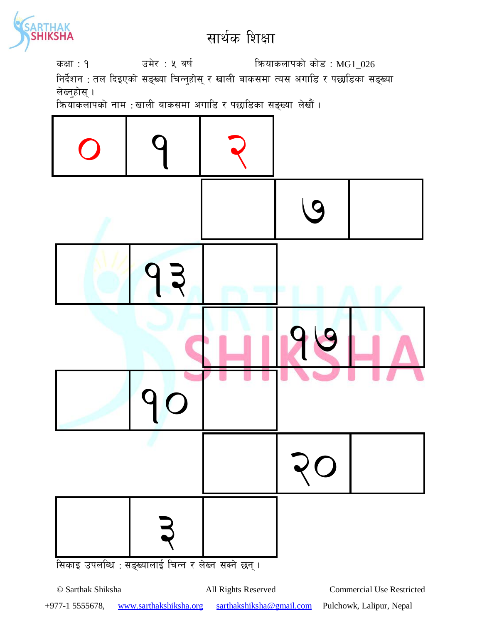

कक्षा: १  $\overline{3}$  उमेर : ५ वर्ष कियाकलापको कोड : MG1\_026 निर्देशन : तल दिइएको सङ्ख्या चिन्नुहोस् र खाली बाकसमा त्यस अगाडि र पछाडिका सङ्ख्या लेख्नुहोस् ।

<u>क्रियाकलापको नाम : खाली बाकसमा अगाडि र पछाडिका सङ्ख्या लेखौं ।</u>



+977-1 5555678, www.sarthakshiksha.org sarthakshiksha@gmail.com Pulchowk, Lalipur, Nepal

© Sarthak Shiksha All Rights Reserved Commercial Use Restricted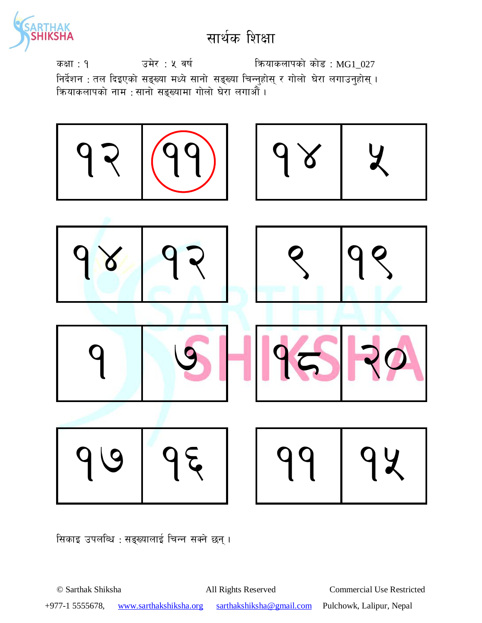

उमेर : ५ वर्ष कियाकलापको कोड: MG1\_027 कक्षा : १ निर्देशन : तल दिइएको सङ्ख्या मध्ये सानो सङ्ख्या चिन्नुहोस् र गोलो घेरा लगाउनुहोस् । कियाकलापको नाम : सानो सङ्ख्यामा गोलो घेरा लगाओँ ।



सिकाइ उपलब्धि : सङ्ख्यालाई चिन्न सक्ने छन्।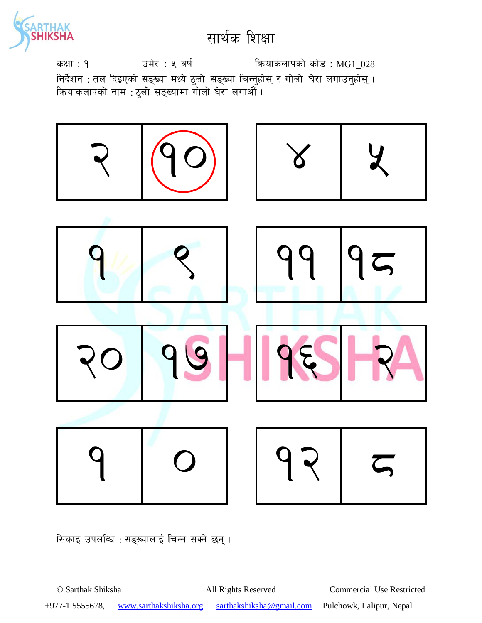

उमेर : ५ वर्ष कियाकलापको कोड: MG1\_028 कक्षा : १ निर्देशन : तल दिइएको सङ्ख्या मध्ये ठुलो सङ्ख्या चिन्नुहोस् र गोलो घेरा लगाउनुहोस् ।<br>क्रियाकलापको नाम : ठुलो सङ्ख्यामा गोलो घेरा लगाऔं ।



सिकाइ उपलब्धि : सङ्ख्यालाई चिन्न सक्ने छन्।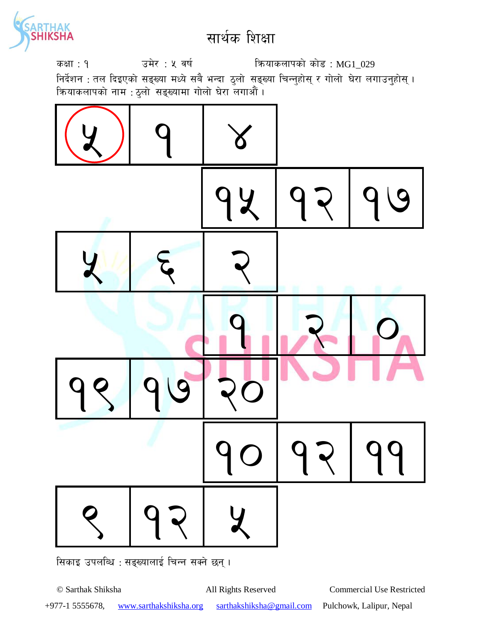

कक्षा: १  $\overline{3}$  उमेर : ५ वर्ष कियाकलापको कोड : MG1\_029 निर्देशन : तल दिइएको सङ्ख्या मध्ये सबै भन्दा ठुलो सङ्ख्या चिन्नुहोस् र गोलो घेरा लगाउनुहोस् । क्रियाकलापको नाम : ठुलो सङ्ख्यामा गोलो घेरा लगाऔं ।



सिकाइ उपलब्धि : सङ्ख्यालाई चिन्न सक्ने छन् ।

© Sarthak Shiksha All Rights Reserved Commercial Use Restricted +977-1 5555678, www.sarthakshiksha.org sarthakshiksha@gmail.com Pulchowk, Lalipur, Nepal